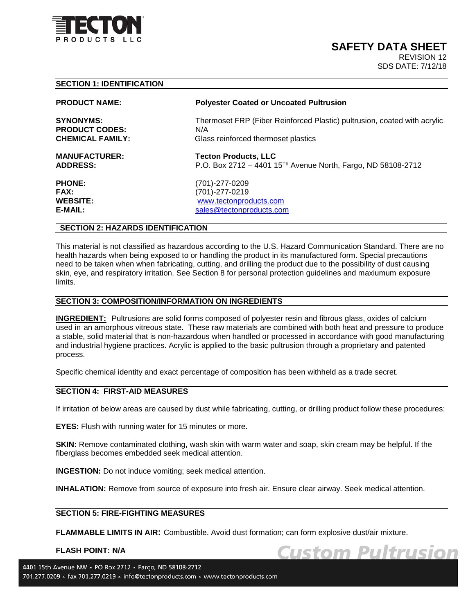

**Custom Pultrusion** 

# **SECTION 1: IDENTIFICATION**

**PRODUCT CODES:** N/A<br> **CHEMICAL FAMILY:** Glas

#### **PRODUCT NAME: Polyester Coated or Uncoated Pultrusion**

**SYNONYMS:** Thermoset FRP (Fiber Reinforced Plastic) pultrusion, coated with acrylic Glass reinforced thermoset plastics

**MANUFACTURER:** Tecton Products, LLC<br>ADDRESS: The P.O. Box 2712 - 4401 1 **ADDRESS:** P.O. Box 2712 – 4401 15Th Avenue North, Fargo, ND 58108-2712

**PHONE:** (701)-277-0209 **FAX:** (701)-277-0219 **WEBSITE:** [www.tectonproducts.com](http://www.tectonproducts.com/) **E-MAIL:** [sales@tectonproducts.com](mailto:sales@tectonproducts.com)

## **SECTION 2: HAZARDS IDENTIFICATION**

This material is not classified as hazardous according to the U.S. Hazard Communication Standard. There are no health hazards when being exposed to or handling the product in its manufactured form. Special precautions need to be taken when when fabricating, cutting, and drilling the product due to the possibility of dust causing skin, eye, and respiratory irritation. See Section 8 for personal protection guidelines and maxiumum exposure limits.

#### **SECTION 3: COMPOSITION/INFORMATION ON INGREDIENTS**

**INGREDIENT:** Pultrusions are solid forms composed of polyester resin and fibrous glass, oxides of calcium used in an amorphous vitreous state. These raw materials are combined with both heat and pressure to produce a stable, solid material that is non-hazardous when handled or processed in accordance with good manufacturing and industrial hygiene practices. Acrylic is applied to the basic pultrusion through a proprietary and patented process.

Specific chemical identity and exact percentage of composition has been withheld as a trade secret.

#### **SECTION 4: FIRST-AID MEASURES**

If irritation of below areas are caused by dust while fabricating, cutting, or drilling product follow these procedures:

**EYES:** Flush with running water for 15 minutes or more.

**SKIN:** Remove contaminated clothing, wash skin with warm water and soap, skin cream may be helpful. If the fiberglass becomes embedded seek medical attention.

**INGESTION:** Do not induce vomiting; seek medical attention.

**INHALATION:** Remove from source of exposure into fresh air. Ensure clear airway. Seek medical attention.

## **SECTION 5: FIRE-FIGHTING MEASURES**

**FLAMMABLE LIMITS IN AIR:** Combustible. Avoid dust formation; can form explosive dust/air mixture.

#### **FLASH POINT: N/A**

4401 15th Avenue NW - PO Box 2712 - Fargo, ND 58108-2712 701.277.0209 - fax 701.277.0219 - info@tectonproducts.com - www.tectonproducts.com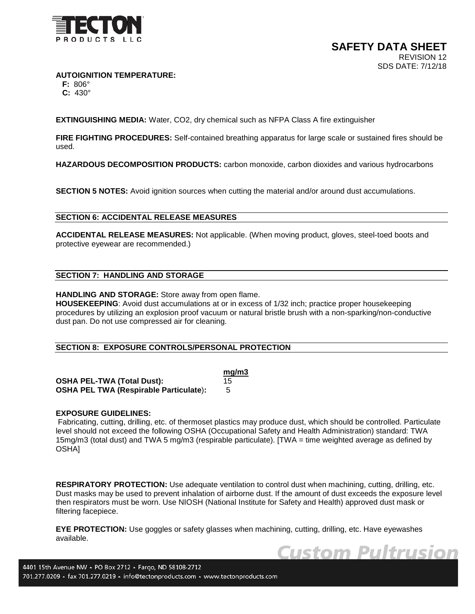

**Custom Pultrusion** 

**AUTOIGNITION TEMPERATURE:**

 **F:** 806°  **C:** 430°

**EXTINGUISHING MEDIA:** Water, CO2, dry chemical such as NFPA Class A fire extinguisher

**FIRE FIGHTING PROCEDURES:** Self-contained breathing apparatus for large scale or sustained fires should be used.

**HAZARDOUS DECOMPOSITION PRODUCTS:** carbon monoxide, carbon dioxides and various hydrocarbons

**SECTION 5 NOTES:** Avoid ignition sources when cutting the material and/or around dust accumulations.

## **SECTION 6: ACCIDENTAL RELEASE MEASURES**

**ACCIDENTAL RELEASE MEASURES:** Not applicable. (When moving product, gloves, steel-toed boots and protective eyewear are recommended.)

## **SECTION 7: HANDLING AND STORAGE**

**HANDLING AND STORAGE:** Store away from open flame.

**HOUSEKEEPING**: Avoid dust accumulations at or in excess of 1/32 inch; practice proper housekeeping procedures by utilizing an explosion proof vacuum or natural bristle brush with a non-sparking/non-conductive dust pan. Do not use compressed air for cleaning.

## **SECTION 8: EXPOSURE CONTROLS/PERSONAL PROTECTION**

|                                               | mg/m3 |
|-----------------------------------------------|-------|
| <b>OSHA PEL-TWA (Total Dust):</b>             | 15    |
| <b>OSHA PEL TWA (Respirable Particulate):</b> |       |

## **EXPOSURE GUIDELINES:**

Fabricating, cutting, drilling, etc. of thermoset plastics may produce dust, which should be controlled. Particulate level should not exceed the following OSHA (Occupational Safety and Health Administration) standard: TWA 15mg/m3 (total dust) and TWA 5 mg/m3 (respirable particulate). [TWA = time weighted average as defined by OSHA]

**RESPIRATORY PROTECTION:** Use adequate ventilation to control dust when machining, cutting, drilling, etc. Dust masks may be used to prevent inhalation of airborne dust. If the amount of dust exceeds the exposure level then respirators must be worn. Use NIOSH (National Institute for Safety and Health) approved dust mask or filtering facepiece.

**EYE PROTECTION:** Use goggles or safety glasses when machining, cutting, drilling, etc. Have eyewashes available.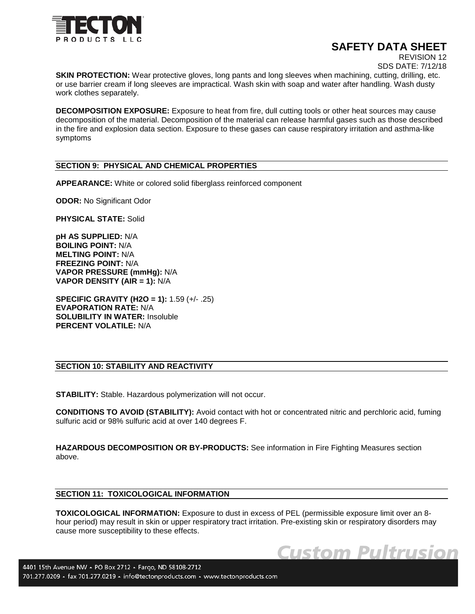

# **SAFETY DATA SHEET**

**Custom Pultrusion** 

REVISION 12

SDS DATE: 7/12/18

**SKIN PROTECTION:** Wear protective gloves, long pants and long sleeves when machining, cutting, drilling, etc. or use barrier cream if long sleeves are impractical. Wash skin with soap and water after handling. Wash dusty work clothes separately.

**DECOMPOSITION EXPOSURE:** Exposure to heat from fire, dull cutting tools or other heat sources may cause decomposition of the material. Decomposition of the material can release harmful gases such as those described in the fire and explosion data section. Exposure to these gases can cause respiratory irritation and asthma-like symptoms

## **SECTION 9: PHYSICAL AND CHEMICAL PROPERTIES**

**APPEARANCE:** White or colored solid fiberglass reinforced component

**ODOR:** No Significant Odor

**PHYSICAL STATE:** Solid

**pH AS SUPPLIED:** N/A **BOILING POINT:** N/A **MELTING POINT:** N/A **FREEZING POINT:** N/A **VAPOR PRESSURE (mmHg):** N/A **VAPOR DENSITY (AIR = 1):** N/A

**SPECIFIC GRAVITY (H2O = 1):** 1.59 (+/- .25) **EVAPORATION RATE:** N/A **SOLUBILITY IN WATER:** Insoluble **PERCENT VOLATILE:** N/A

# **SECTION 10: STABILITY AND REACTIVITY**

**STABILITY:** Stable. Hazardous polymerization will not occur.

**CONDITIONS TO AVOID (STABILITY):** Avoid contact with hot or concentrated nitric and perchloric acid, fuming sulfuric acid or 98% sulfuric acid at over 140 degrees F.

**HAZARDOUS DECOMPOSITION OR BY-PRODUCTS:** See information in Fire Fighting Measures section above.

#### **SECTION 11: TOXICOLOGICAL INFORMATION**

**TOXICOLOGICAL INFORMATION:** Exposure to dust in excess of PEL (permissible exposure limit over an 8 hour period) may result in skin or upper respiratory tract irritation. Pre-existing skin or respiratory disorders may cause more susceptibility to these effects.